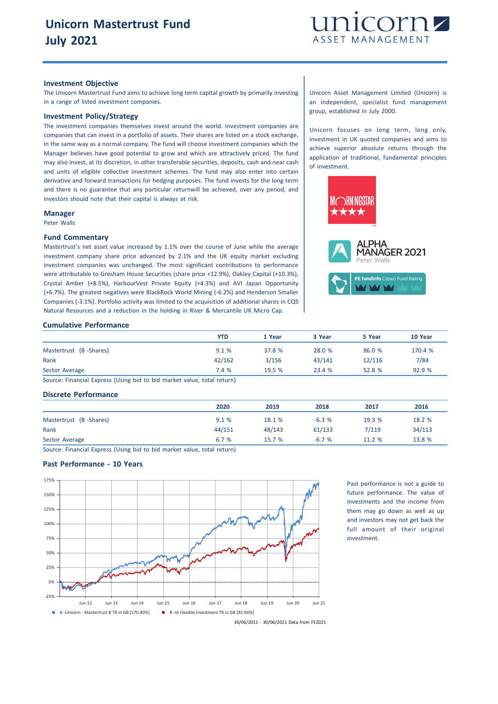

## **Investment Objective**

The Unicorn Mastertrust Fund aims to achieve long term capital growth by primarily investing in a range of listed investment companies.

# **Investment Policy/Strategy**

The investment companies themselves invest around the world. Investment companies are companies that can invest in a portfolio of assets. Their shares are listed on a stock exchange, in the same way as a normal company. The fund will choose investment companies which the Manager believes have good potential to grow and which are attractively priced. The fund may also invest, at its discretion, in other transferable securities, deposits, cash and near cash and units of eligible collective investment schemes. The fund may also enter into certain derivative and forward transactions for hedging purposes. The fund invests for the long term and there is no guarantee that any particular returnwill be achieved, over any period, and investors should note that their capital is always at risk.

#### **Manager**

Peter Walls

#### **Fund Commentary**

Mastertrust's net asset value increased by 1.1% over the course of June while the average investment company share price advanced by 2.1% and the UK equity market excluding investment companies was unchanged. The most significant contributions to performance were attributable to Gresham House Securities (share price +12.9%), Oakley Capital (+10.3%), Crystal Amber (+8.5%), HarbourVest Private Equity (+4.3%) and AVI Japan Opportunity (+6.7%). The greatest negatives were BlackRock World Mining (-6.2%) and Henderson Smaller Companies (-3.1%). Portfolio activity was limited to the acquisition of additional shares in CQS Natural Resources and a reduction in the holding in River & Mercantile UK Micro Cap.

## Unicorn Asset Management Limited (Unicorn) is an independent, specialist fund management group, established in July 2000.

Unicorn focuses on long term, long only, investment in UK quoted companies and aims to achieve superior absolute returns through the application of traditional, fundamental principles of investment.



# **Cumulative Performance**

|                        | <b>YTD</b> | 1 Year | 3 Year | 5 Year | 10 Year |
|------------------------|------------|--------|--------|--------|---------|
| Mastertrust (B-Shares) | 9.1%       | 37.8 % | 28.0 % | 86.0 % | 170.4 % |
| Rank                   | 42/162     | 3/156  | 43/141 | 12/116 | 7/84    |
| Sector Average         | 7.4 %      | 19.5 % | 23.4 % | 52.8 % | 92.9%   |

Source: Financial Express (Using bid to bid market value, total return)

## **Discrete Performance**

|                        | 2020   | 2019   | 2018    | 2017   | 2016   |
|------------------------|--------|--------|---------|--------|--------|
| Mastertrust (B-Shares) | 9.1%   | 18.1 % | $-6.3%$ | 19.3 % | 18.2 % |
| Rank                   | 44/151 | 48/143 | 61/133  | 7/119  | 34/113 |
| Sector Average         | 6.7 %  | 15.7%  | $-6.7%$ | 11.2 % | 13.8 % |

Source: Financial Express (Using bid to bid market value, total return)

## **Past Performance - 10 Years**



Past performance is not a guide to future performance. The value of investments and the income from them may go down as well as up and investors may not get back the full amount of their original investment.

30/06/2011 - 30/06/2021 Data from FE2021